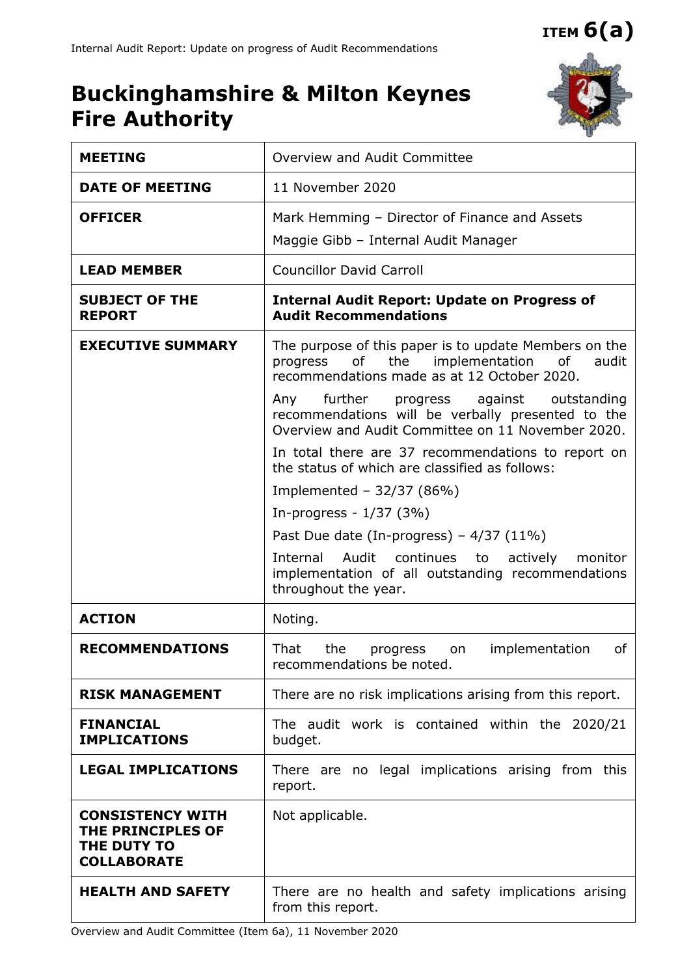**ITEM 6(a)**

## **Buckinghamshire & Milton Keynes Fire Authority**



| <b>MEETING</b>                                                                    | Overview and Audit Committee                                                                                                                                                                                                                                                                                      |  |  |  |  |  |  |
|-----------------------------------------------------------------------------------|-------------------------------------------------------------------------------------------------------------------------------------------------------------------------------------------------------------------------------------------------------------------------------------------------------------------|--|--|--|--|--|--|
| <b>DATE OF MEETING</b>                                                            | 11 November 2020                                                                                                                                                                                                                                                                                                  |  |  |  |  |  |  |
| <b>OFFICER</b>                                                                    | Mark Hemming - Director of Finance and Assets<br>Maggie Gibb - Internal Audit Manager                                                                                                                                                                                                                             |  |  |  |  |  |  |
| <b>LEAD MEMBER</b>                                                                | <b>Councillor David Carroll</b>                                                                                                                                                                                                                                                                                   |  |  |  |  |  |  |
| <b>SUBJECT OF THE</b><br><b>REPORT</b>                                            | <b>Internal Audit Report: Update on Progress of</b><br><b>Audit Recommendations</b>                                                                                                                                                                                                                               |  |  |  |  |  |  |
| <b>EXECUTIVE SUMMARY</b>                                                          | The purpose of this paper is to update Members on the<br>the implementation<br>progress<br>of<br>of<br>audit<br>recommendations made as at 12 October 2020.<br>Any further progress against outstanding<br>recommendations will be verbally presented to the<br>Overview and Audit Committee on 11 November 2020. |  |  |  |  |  |  |
|                                                                                   | In total there are 37 recommendations to report on<br>the status of which are classified as follows:                                                                                                                                                                                                              |  |  |  |  |  |  |
|                                                                                   | Implemented - $32/37$ (86%)                                                                                                                                                                                                                                                                                       |  |  |  |  |  |  |
|                                                                                   | In-progress - $1/37$ (3%)                                                                                                                                                                                                                                                                                         |  |  |  |  |  |  |
|                                                                                   | Past Due date (In-progress) $-4/37$ (11%)<br>Internal Audit continues to<br>actively<br>monitor<br>implementation of all outstanding recommendations<br>throughout the year.                                                                                                                                      |  |  |  |  |  |  |
| <b>ACTION</b>                                                                     | Noting.                                                                                                                                                                                                                                                                                                           |  |  |  |  |  |  |
| <b>RECOMMENDATIONS</b>                                                            | That<br>implementation<br>of<br>the<br>progress<br>on<br>recommendations be noted.                                                                                                                                                                                                                                |  |  |  |  |  |  |
| <b>RISK MANAGEMENT</b>                                                            | There are no risk implications arising from this report.                                                                                                                                                                                                                                                          |  |  |  |  |  |  |
| <b>FINANCIAL</b><br><b>IMPLICATIONS</b>                                           | The audit work is contained within the 2020/21<br>budget.                                                                                                                                                                                                                                                         |  |  |  |  |  |  |
| <b>LEGAL IMPLICATIONS</b>                                                         | There are no legal implications arising from this<br>report.                                                                                                                                                                                                                                                      |  |  |  |  |  |  |
| <b>CONSISTENCY WITH</b><br>THE PRINCIPLES OF<br>THE DUTY TO<br><b>COLLABORATE</b> | Not applicable.                                                                                                                                                                                                                                                                                                   |  |  |  |  |  |  |
| <b>HEALTH AND SAFETY</b>                                                          | There are no health and safety implications arising<br>from this report.                                                                                                                                                                                                                                          |  |  |  |  |  |  |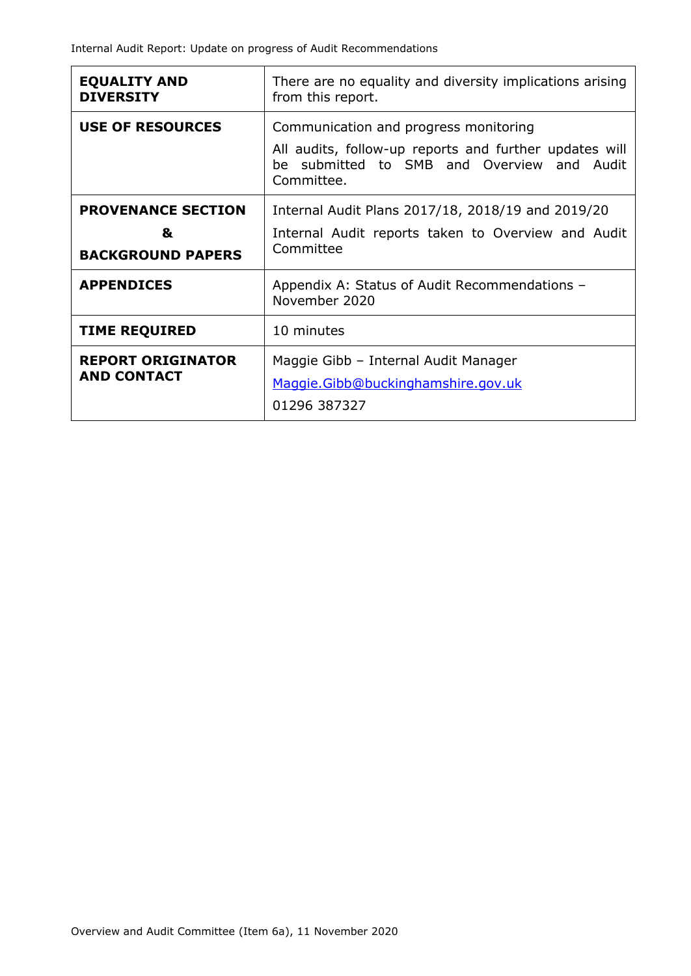| <b>EQUALITY AND</b><br><b>DIVERSITY</b>                    | There are no equality and diversity implications arising<br>from this report.                                                                                  |  |  |  |  |  |
|------------------------------------------------------------|----------------------------------------------------------------------------------------------------------------------------------------------------------------|--|--|--|--|--|
| <b>USE OF RESOURCES</b>                                    | Communication and progress monitoring<br>All audits, follow-up reports and further updates will<br>submitted to SMB and Overview and Audit<br>he<br>Committee. |  |  |  |  |  |
| <b>PROVENANCE SECTION</b><br>&<br><b>BACKGROUND PAPERS</b> | Internal Audit Plans 2017/18, 2018/19 and 2019/20<br>Internal Audit reports taken to Overview and Audit<br>Committee                                           |  |  |  |  |  |
| <b>APPENDICES</b>                                          | Appendix A: Status of Audit Recommendations -<br>November 2020                                                                                                 |  |  |  |  |  |
| <b>TIME REQUIRED</b>                                       | 10 minutes                                                                                                                                                     |  |  |  |  |  |
| <b>REPORT ORIGINATOR</b><br><b>AND CONTACT</b>             | Maggie Gibb - Internal Audit Manager<br>Maggie.Gibb@buckinghamshire.gov.uk<br>01296 387327                                                                     |  |  |  |  |  |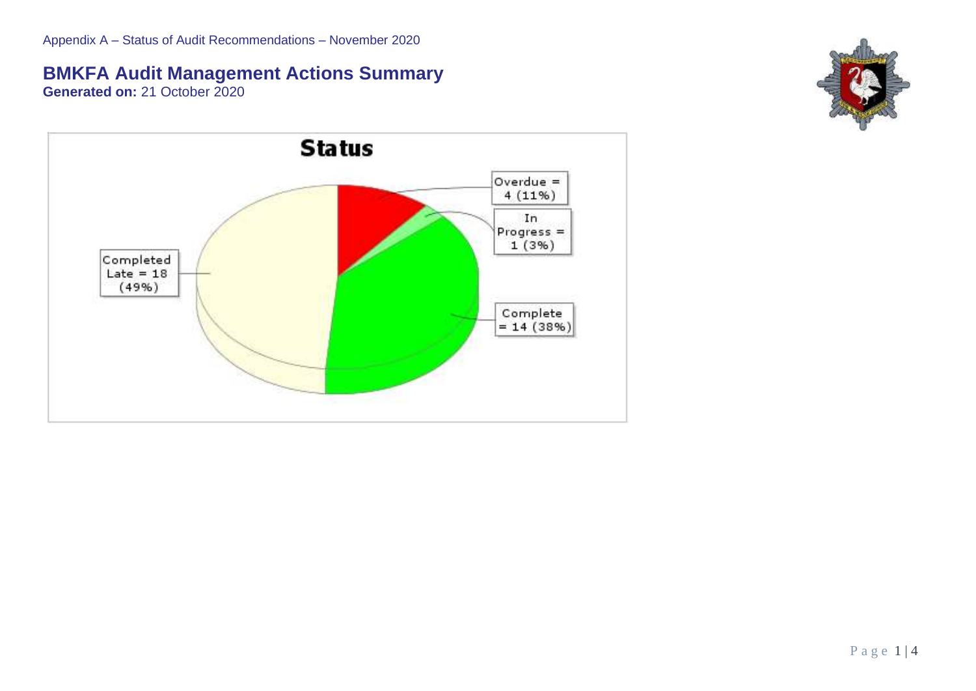## **BMKFA Audit Management Actions Summary**

**Generated on:** 21 October 2020



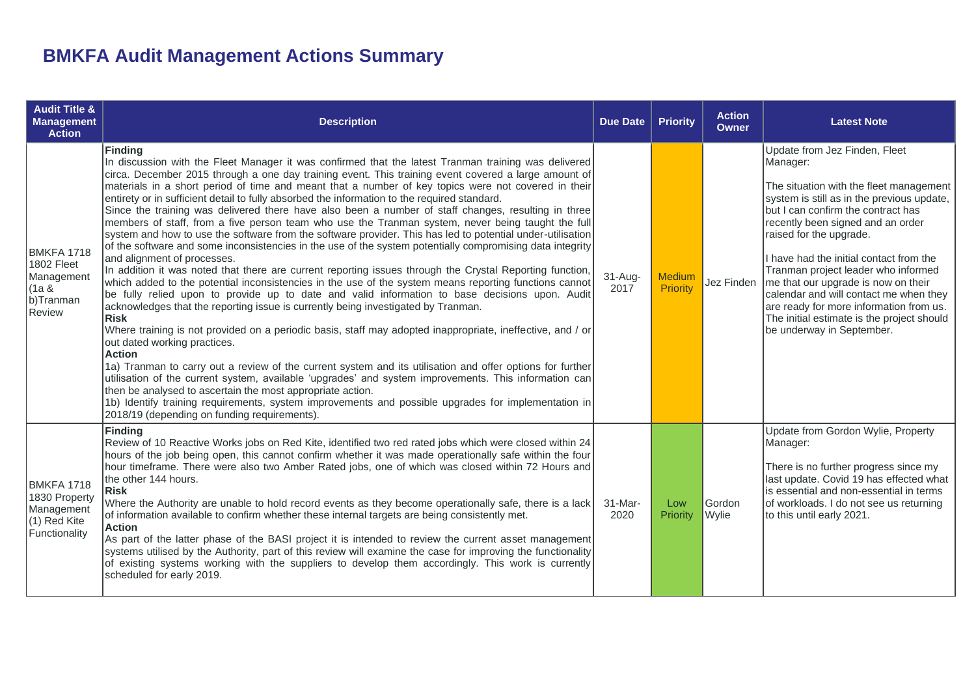## **BMKFA Audit Management Actions Summary**

| <b>Audit Title &amp;</b><br><b>Management</b><br><b>Action</b>             | <b>Description</b>                                                                                                                                                                                                                                                                                                                                                                                                                                                                                                                                                                                                                                                                                                                                                                                                                                                                                                                                                                                                                                                                                                                                                                                                                                                                                                                                                                                                                                                                                                                                                                                                                                                                                                                                                                                                                                                                                                                         | <b>Due Date</b>     | <b>Priority</b>                  | <b>Action</b><br><b>Owner</b> | <b>Latest Note</b>                                                                                                                                                                                                                                                                                                                                                                                                                                                                                                                |
|----------------------------------------------------------------------------|--------------------------------------------------------------------------------------------------------------------------------------------------------------------------------------------------------------------------------------------------------------------------------------------------------------------------------------------------------------------------------------------------------------------------------------------------------------------------------------------------------------------------------------------------------------------------------------------------------------------------------------------------------------------------------------------------------------------------------------------------------------------------------------------------------------------------------------------------------------------------------------------------------------------------------------------------------------------------------------------------------------------------------------------------------------------------------------------------------------------------------------------------------------------------------------------------------------------------------------------------------------------------------------------------------------------------------------------------------------------------------------------------------------------------------------------------------------------------------------------------------------------------------------------------------------------------------------------------------------------------------------------------------------------------------------------------------------------------------------------------------------------------------------------------------------------------------------------------------------------------------------------------------------------------------------------|---------------------|----------------------------------|-------------------------------|-----------------------------------------------------------------------------------------------------------------------------------------------------------------------------------------------------------------------------------------------------------------------------------------------------------------------------------------------------------------------------------------------------------------------------------------------------------------------------------------------------------------------------------|
| BMKFA 1718<br>1802 Fleet<br>Management<br>(1a &<br>b)Tranman<br>Review     | Finding<br>In discussion with the Fleet Manager it was confirmed that the latest Tranman training was delivered<br>circa. December 2015 through a one day training event. This training event covered a large amount of<br>materials in a short period of time and meant that a number of key topics were not covered in their<br>entirety or in sufficient detail to fully absorbed the information to the required standard.<br>Since the training was delivered there have also been a number of staff changes, resulting in three<br>members of staff, from a five person team who use the Tranman system, never being taught the full<br>system and how to use the software from the software provider. This has led to potential under-utilisation<br>of the software and some inconsistencies in the use of the system potentially compromising data integrity<br>and alignment of processes.<br>In addition it was noted that there are current reporting issues through the Crystal Reporting function,<br>which added to the potential inconsistencies in the use of the system means reporting functions cannot<br>be fully relied upon to provide up to date and valid information to base decisions upon. Audit<br>acknowledges that the reporting issue is currently being investigated by Tranman.<br><b>Risk</b><br>Where training is not provided on a periodic basis, staff may adopted inappropriate, ineffective, and / or<br>out dated working practices.<br><b>Action</b><br>1a) Tranman to carry out a review of the current system and its utilisation and offer options for further<br>utilisation of the current system, available 'upgrades' and system improvements. This information can<br>then be analysed to ascertain the most appropriate action.<br>1b) Identify training requirements, system improvements and possible upgrades for implementation in<br>2018/19 (depending on funding requirements). | $31 - Aug-$<br>2017 | <b>Medium</b><br><b>Priority</b> | Jez Finden                    | Update from Jez Finden, Fleet<br>Manager:<br>The situation with the fleet management<br>system is still as in the previous update,<br>but I can confirm the contract has<br>recently been signed and an order<br>raised for the upgrade.<br>I have had the initial contact from the<br>Tranman project leader who informed<br>me that our upgrade is now on their<br>calendar and will contact me when they<br>are ready for more information from us.<br>The initial estimate is the project should<br>be underway in September. |
| BMKFA 1718<br>1830 Property<br>Management<br>(1) Red Kite<br>Functionality | <b>Finding</b><br>Review of 10 Reactive Works jobs on Red Kite, identified two red rated jobs which were closed within 24<br>hours of the job being open, this cannot confirm whether it was made operationally safe within the four<br>hour timeframe. There were also two Amber Rated jobs, one of which was closed within 72 Hours and<br>the other 144 hours.<br><b>Risk</b><br>Where the Authority are unable to hold record events as they become operationally safe, there is a lack<br>of information available to confirm whether these internal targets are being consistently met.<br><b>Action</b><br>As part of the latter phase of the BASI project it is intended to review the current asset management<br>systems utilised by the Authority, part of this review will examine the case for improving the functionality<br>of existing systems working with the suppliers to develop them accordingly. This work is currently<br>scheduled for early 2019.                                                                                                                                                                                                                                                                                                                                                                                                                                                                                                                                                                                                                                                                                                                                                                                                                                                                                                                                                                 | 31-Mar-<br>2020     | Low<br>Priority                  | Gordon<br>Wylie               | Update from Gordon Wylie, Property<br>Manager:<br>There is no further progress since my<br>last update. Covid 19 has effected what<br>is essential and non-essential in terms<br>of workloads. I do not see us returning<br>to this until early 2021.                                                                                                                                                                                                                                                                             |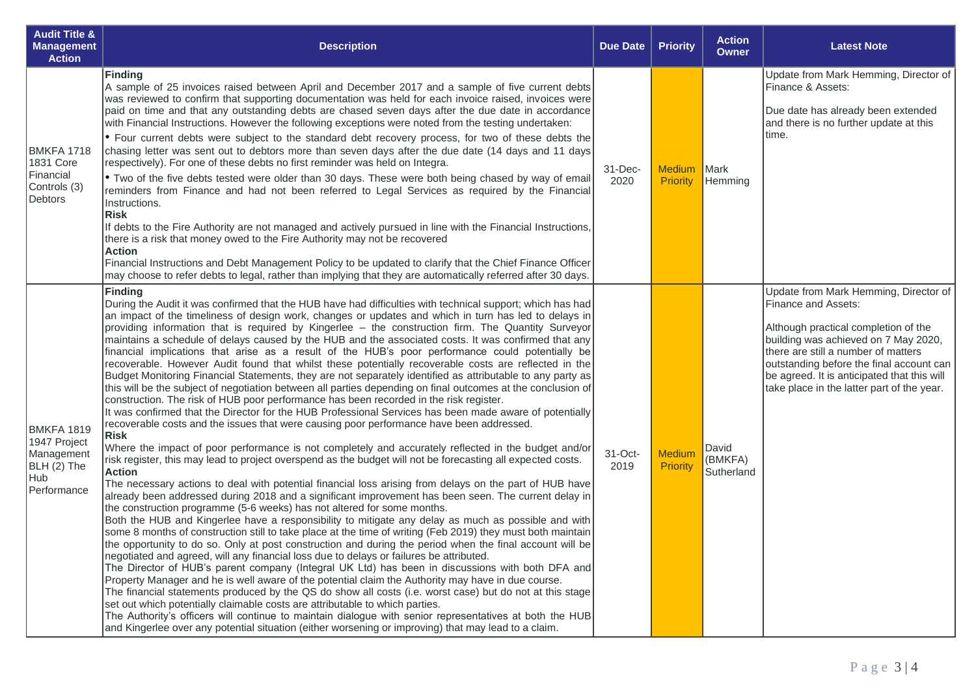| <b>Audit Title &amp;</b><br><b>Management</b><br><b>Action</b>                       | <b>Description</b>                                                                                                                                                                                                                                                                                                                                                                                                                                                                                                                                                                                                                                                                                                                                                                                                                                                                                                                                                                                                                                                                                                                                                                                                                                                                                                                                                                                                                                                                                                                                                                                                                                                                                                                                                                                                                                                                                                                                                                                                                                                                                                                                                                                                                                                                                                                                                                                                                                                                                                                                                                                                                                                                                                                                                                                         | <b>Due Date</b> | <b>Priority</b>           | <b>Action</b><br><b>Owner</b>  | <b>Latest Note</b>                                                                                                                                                                                                                                                                                                           |
|--------------------------------------------------------------------------------------|------------------------------------------------------------------------------------------------------------------------------------------------------------------------------------------------------------------------------------------------------------------------------------------------------------------------------------------------------------------------------------------------------------------------------------------------------------------------------------------------------------------------------------------------------------------------------------------------------------------------------------------------------------------------------------------------------------------------------------------------------------------------------------------------------------------------------------------------------------------------------------------------------------------------------------------------------------------------------------------------------------------------------------------------------------------------------------------------------------------------------------------------------------------------------------------------------------------------------------------------------------------------------------------------------------------------------------------------------------------------------------------------------------------------------------------------------------------------------------------------------------------------------------------------------------------------------------------------------------------------------------------------------------------------------------------------------------------------------------------------------------------------------------------------------------------------------------------------------------------------------------------------------------------------------------------------------------------------------------------------------------------------------------------------------------------------------------------------------------------------------------------------------------------------------------------------------------------------------------------------------------------------------------------------------------------------------------------------------------------------------------------------------------------------------------------------------------------------------------------------------------------------------------------------------------------------------------------------------------------------------------------------------------------------------------------------------------------------------------------------------------------------------------------------------------|-----------------|---------------------------|--------------------------------|------------------------------------------------------------------------------------------------------------------------------------------------------------------------------------------------------------------------------------------------------------------------------------------------------------------------------|
| <b>BMKFA 1718</b><br>1831 Core<br>Financial<br>Controls (3)<br>Debtors               | <b>Finding</b><br>A sample of 25 invoices raised between April and December 2017 and a sample of five current debts<br>was reviewed to confirm that supporting documentation was held for each invoice raised, invoices were<br>paid on time and that any outstanding debts are chased seven days after the due date in accordance<br>with Financial Instructions. However the following exceptions were noted from the testing undertaken:<br>• Four current debts were subject to the standard debt recovery process, for two of these debts the<br>chasing letter was sent out to debtors more than seven days after the due date (14 days and 11 days)<br>respectively). For one of these debts no first reminder was held on Integra.<br>. Two of the five debts tested were older than 30 days. These were both being chased by way of email<br>reminders from Finance and had not been referred to Legal Services as required by the Financial<br>Instructions.<br><b>Risk</b><br>If debts to the Fire Authority are not managed and actively pursued in line with the Financial Instructions,<br>there is a risk that money owed to the Fire Authority may not be recovered<br><b>Action</b><br>Financial Instructions and Debt Management Policy to be updated to clarify that the Chief Finance Officer<br>may choose to refer debts to legal, rather than implying that they are automatically referred after 30 days.                                                                                                                                                                                                                                                                                                                                                                                                                                                                                                                                                                                                                                                                                                                                                                                                                                                                                                                                                                                                                                                                                                                                                                                                                                                                                                                                                                          | 31-Dec-<br>2020 | <b>Medium</b><br>Priority | Mark<br>Hemming                | Update from Mark Hemming, Director of<br>Finance & Assets:<br>Due date has already been extended<br>and there is no further update at this<br>time.                                                                                                                                                                          |
| <b>BMKFA 1819</b><br>1947 Project<br>Management<br>BLH (2) The<br>Hub<br>Performance | <b>Finding</b><br>During the Audit it was confirmed that the HUB have had difficulties with technical support; which has had<br>an impact of the timeliness of design work, changes or updates and which in turn has led to delays in<br>providing information that is required by Kingerlee - the construction firm. The Quantity Surveyor<br>maintains a schedule of delays caused by the HUB and the associated costs. It was confirmed that any<br>financial implications that arise as a result of the HUB's poor performance could potentially be<br>recoverable. However Audit found that whilst these potentially recoverable costs are reflected in the<br>Budget Monitoring Financial Statements, they are not separately identified as attributable to any party as<br>this will be the subject of negotiation between all parties depending on final outcomes at the conclusion of<br>construction. The risk of HUB poor performance has been recorded in the risk register.<br>It was confirmed that the Director for the HUB Professional Services has been made aware of potentially<br>recoverable costs and the issues that were causing poor performance have been addressed.<br><b>Risk</b><br>Where the impact of poor performance is not completely and accurately reflected in the budget and/or<br>risk register, this may lead to project overspend as the budget will not be forecasting all expected costs.<br><b>Action</b><br>The necessary actions to deal with potential financial loss arising from delays on the part of HUB have<br>already been addressed during 2018 and a significant improvement has been seen. The current delay in<br>the construction programme (5-6 weeks) has not altered for some months.<br>Both the HUB and Kingerlee have a responsibility to mitigate any delay as much as possible and with<br>some 8 months of construction still to take place at the time of writing (Feb 2019) they must both maintain<br>the opportunity to do so. Only at post construction and during the period when the final account will be<br>negotiated and agreed, will any financial loss due to delays or failures be attributed.<br>The Director of HUB's parent company (Integral UK Ltd) has been in discussions with both DFA and<br>Property Manager and he is well aware of the potential claim the Authority may have in due course.<br>The financial statements produced by the QS do show all costs (i.e. worst case) but do not at this stage<br>set out which potentially claimable costs are attributable to which parties.<br>The Authority's officers will continue to maintain dialogue with senior representatives at both the HUB<br>and Kingerlee over any potential situation (either worsening or improving) that may lead to a claim. | 31-Oct-<br>2019 | <b>Medium</b><br>Priority | David<br>(BMKFA)<br>Sutherland | Update from Mark Hemming, Director of<br>Finance and Assets:<br>Although practical completion of the<br>building was achieved on 7 May 2020,<br>there are still a number of matters<br>outstanding before the final account can<br>be agreed. It is anticipated that this will<br>take place in the latter part of the year. |